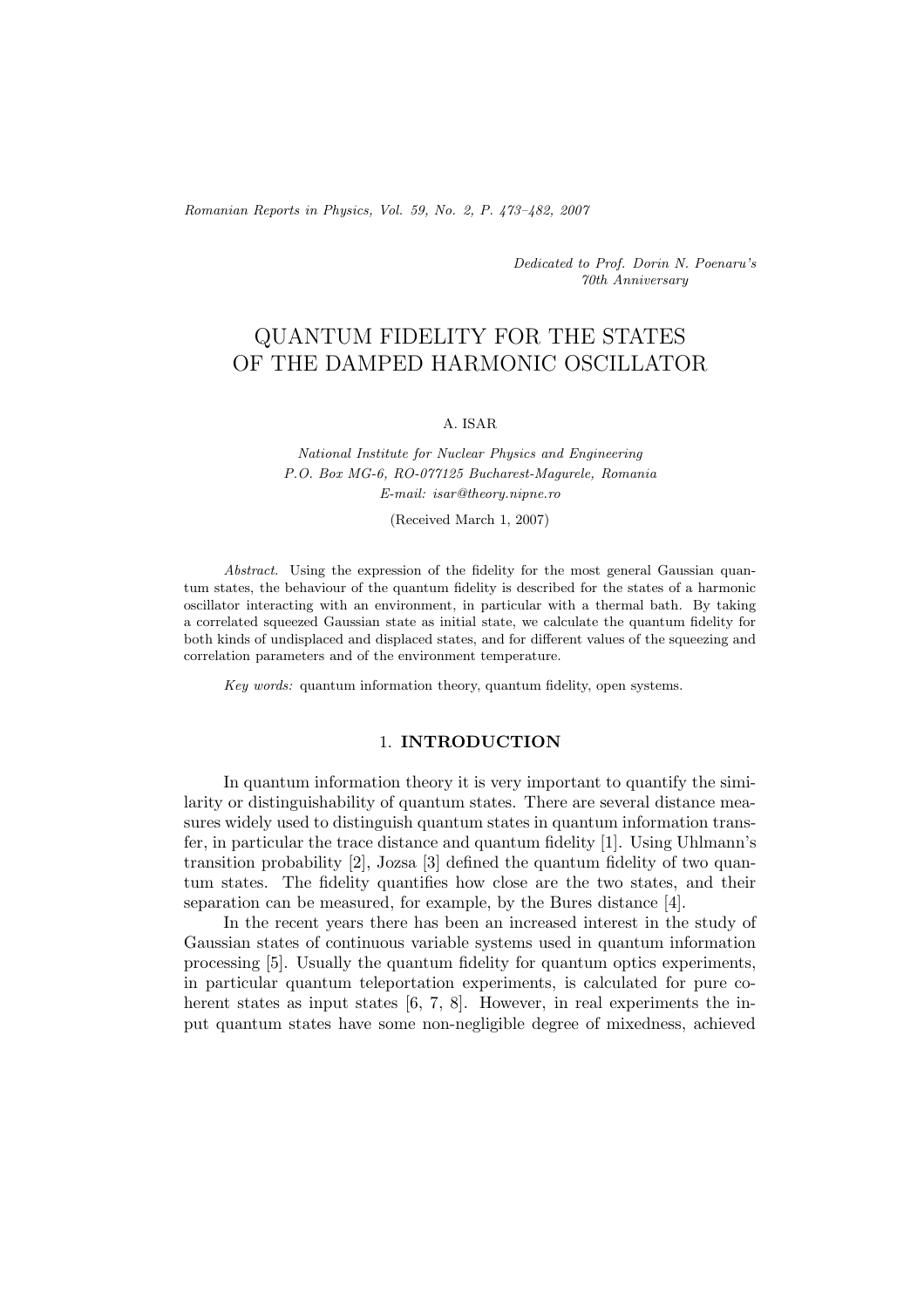*Romanian Reports in Physics, Vol. 59, No. 2, P. 473–482, 2007*

*Dedicated to Prof. Dorin N. Poenaru's 70th Anniversary*

# QUANTUM FIDELITY FOR THE STATES OF THE DAMPED HARMONIC OSCILLATOR

#### A. ISAR

*National Institute for Nuclear Physics and Engineering P.O. Box MG-6, RO-077125 Bucharest-Magurele, Romania E-mail: isar@theory.nipne.ro*

(Received March 1, 2007)

*Abstract.* Using the expression of the fidelity for the most general Gaussian quantum states, the behaviour of the quantum fidelity is described for the states of a harmonic oscillator interacting with an environment, in particular with a thermal bath. By taking a correlated squeezed Gaussian state as initial state, we calculate the quantum fidelity for both kinds of undisplaced and displaced states, and for different values of the squeezing and correlation parameters and of the environment temperature.

*Key words:* quantum information theory, quantum fidelity, open systems.

# 1. **INTRODUCTION**

In quantum information theory it is very important to quantify the similarity or distinguishability of quantum states. There are several distance measures widely used to distinguish quantum states in quantum information transfer, in particular the trace distance and quantum fidelity [1]. Using Uhlmann's transition probability [2], Jozsa [3] defined the quantum fidelity of two quantum states. The fidelity quantifies how close are the two states, and their separation can be measured, for example, by the Bures distance [4].

In the recent years there has been an increased interest in the study of Gaussian states of continuous variable systems used in quantum information processing [5]. Usually the quantum fidelity for quantum optics experiments, in particular quantum teleportation experiments, is calculated for pure coherent states as input states [6, 7, 8]. However, in real experiments the input quantum states have some non-negligible degree of mixedness, achieved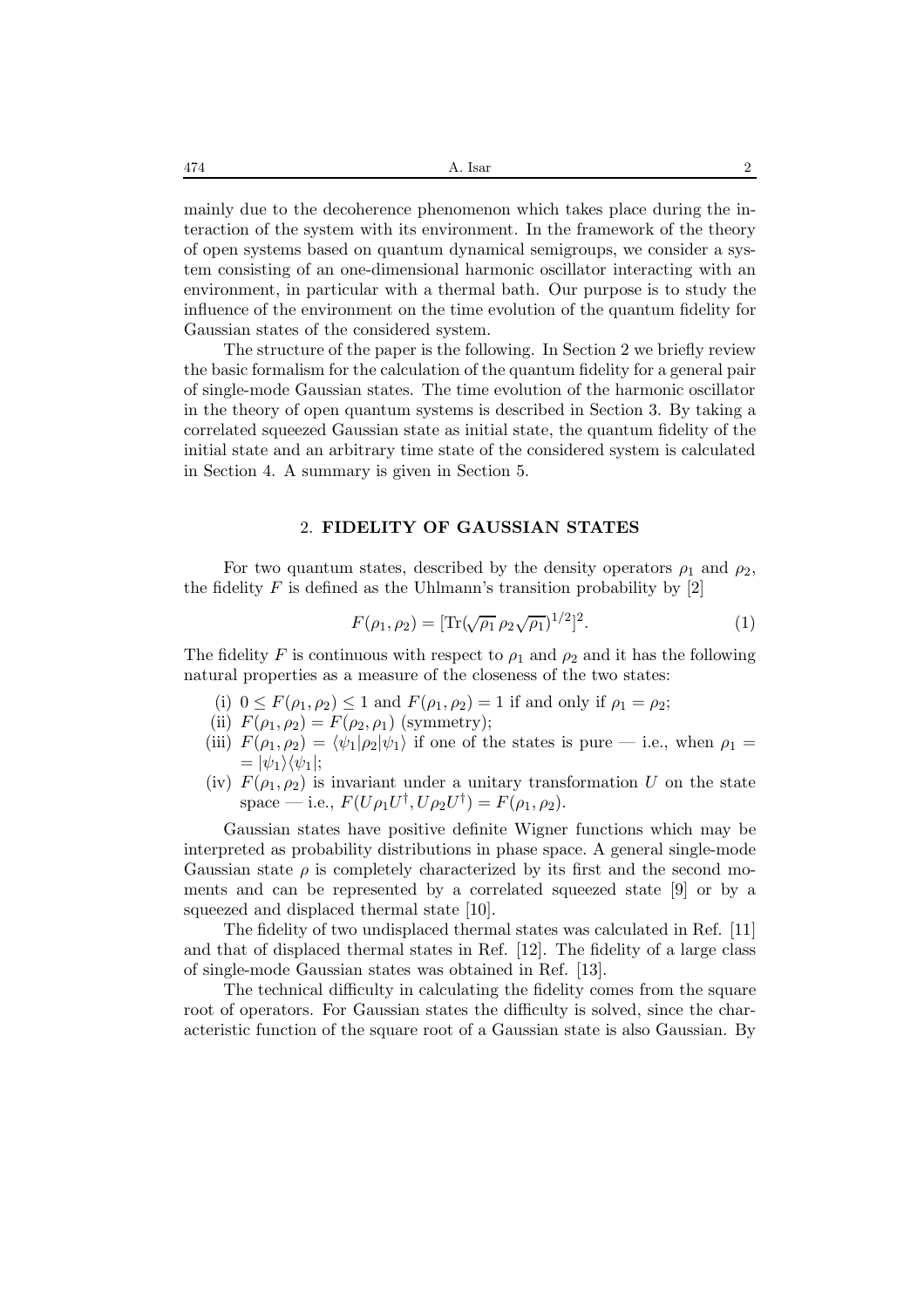mainly due to the decoherence phenomenon which takes place during the interaction of the system with its environment. In the framework of the theory of open systems based on quantum dynamical semigroups, we consider a system consisting of an one-dimensional harmonic oscillator interacting with an environment, in particular with a thermal bath. Our purpose is to study the influence of the environment on the time evolution of the quantum fidelity for Gaussian states of the considered system.

The structure of the paper is the following. In Section 2 we briefly review the basic formalism for the calculation of the quantum fidelity for a general pair of single-mode Gaussian states. The time evolution of the harmonic oscillator in the theory of open quantum systems is described in Section 3. By taking a correlated squeezed Gaussian state as initial state, the quantum fidelity of the initial state and an arbitrary time state of the considered system is calculated in Section 4. A summary is given in Section 5.

#### 2. **FIDELITY OF GAUSSIAN STATES**

For two quantum states, described by the density operators  $\rho_1$  and  $\rho_2$ , the fidelity  $F$  is defined as the Uhlmann's transition probability by [2]

$$
F(\rho_1, \rho_2) = [\text{Tr}(\sqrt{\rho_1} \rho_2 \sqrt{\rho_1})^{1/2}]^2.
$$
 (1)

The fidelity F is continuous with respect to  $\rho_1$  and  $\rho_2$  and it has the following natural properties as a measure of the closeness of the two states:

- (i)  $0 \leq F(\rho_1, \rho_2) \leq 1$  and  $F(\rho_1, \rho_2) = 1$  if and only if  $\rho_1 = \rho_2$ ;
- (ii)  $F(\rho_1, \rho_2) = F(\rho_2, \rho_1)$  (symmetry);
- (iii)  $F(\rho_1, \rho_2) = \langle \psi_1 | \rho_2 | \psi_1 \rangle$  if one of the states is pure i.e., when  $\rho_1 =$  $= |\psi_1\rangle \langle \psi_1|$ ;
- (iv)  $F(\rho_1, \rho_2)$  is invariant under a unitary transformation U on the state space — i.e.,  $F(U \rho_1 U^{\dagger}, U \rho_2 U^{\dagger}) = F(\rho_1, \rho_2)$ .

Gaussian states have positive definite Wigner functions which may be interpreted as probability distributions in phase space. A general single-mode Gaussian state  $\rho$  is completely characterized by its first and the second moments and can be represented by a correlated squeezed state [9] or by a squeezed and displaced thermal state [10].

The fidelity of two undisplaced thermal states was calculated in Ref. [11] and that of displaced thermal states in Ref. [12]. The fidelity of a large class of single-mode Gaussian states was obtained in Ref. [13].

The technical difficulty in calculating the fidelity comes from the square root of operators. For Gaussian states the difficulty is solved, since the characteristic function of the square root of a Gaussian state is also Gaussian. By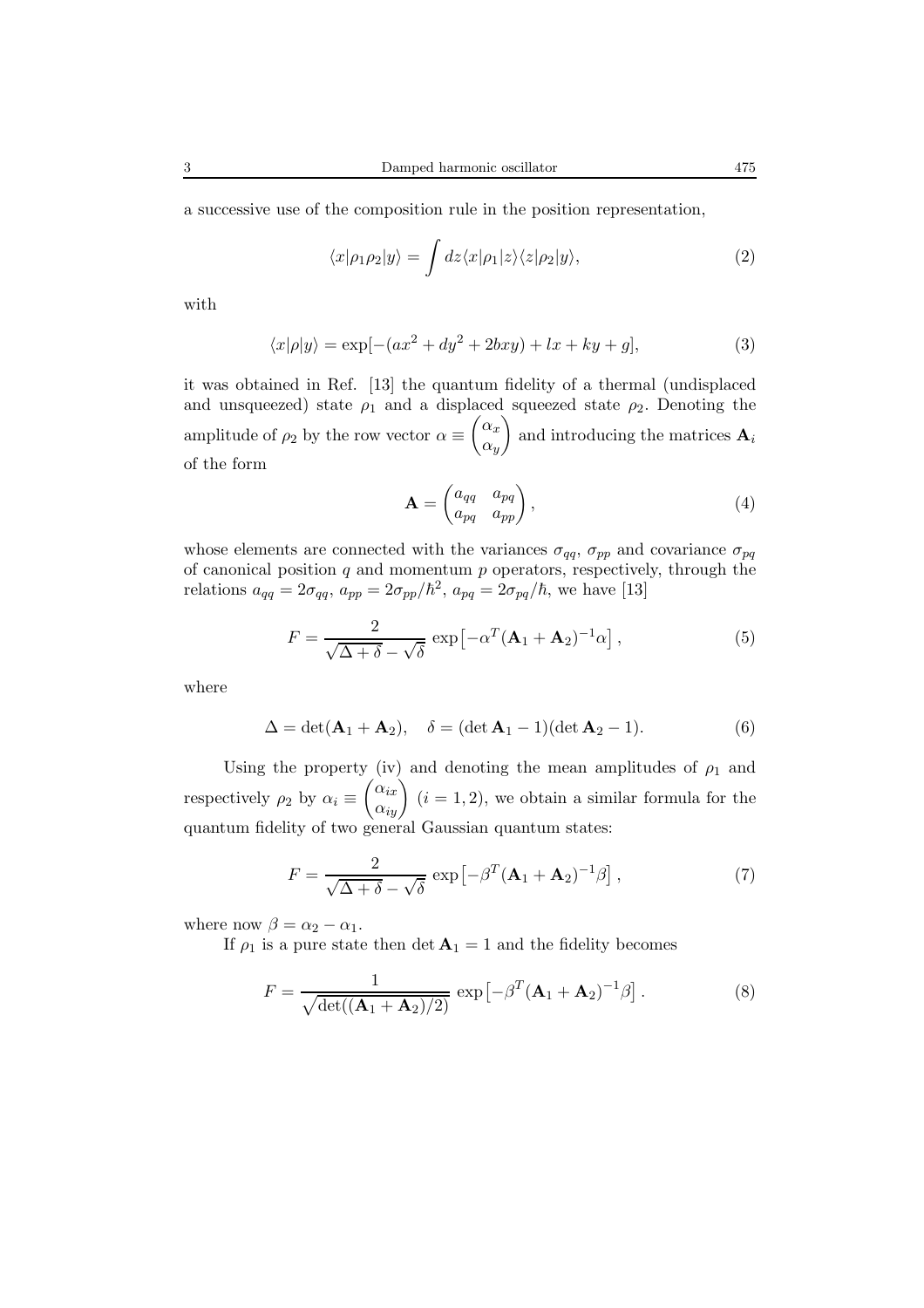$$
\langle x|\rho_1\rho_2|y\rangle = \int dz \langle x|\rho_1|z\rangle \langle z|\rho_2|y\rangle, \qquad (2)
$$

with

$$
\langle x|\rho|y\rangle = \exp[-(ax^2 + dy^2 + 2bxy) + lx + ky + g],\tag{3}
$$

it was obtained in Ref. [13] the quantum fidelity of a thermal (undisplaced and unsqueezed) state  $\rho_1$  and a displaced squeezed state  $\rho_2$ . Denoting the amplitude of  $\rho_2$  by the row vector  $\alpha \equiv \begin{pmatrix} \alpha_x \\ \alpha_y \end{pmatrix}$  $\alpha_y$ ) and introducing the matrices  $\mathbf{A}_i$ of the form

$$
\mathbf{A} = \begin{pmatrix} a_{qq} & a_{pq} \\ a_{pq} & a_{pp} \end{pmatrix}, \tag{4}
$$

whose elements are connected with the variances  $\sigma_{qq}$ ,  $\sigma_{pp}$  and covariance  $\sigma_{pq}$ of canonical position  $q$  and momentum  $p$  operators, respectively, through the relations  $a_{qq} = 2\sigma_{qq}, a_{pp} = 2\sigma_{pp}/\hbar^2, a_{pq} = 2\sigma_{pq}/\hbar$ , we have [13]

$$
F = \frac{2}{\sqrt{\Delta + \delta} - \sqrt{\delta}} \exp\left[-\alpha^T (\mathbf{A}_1 + \mathbf{A}_2)^{-1} \alpha\right],\tag{5}
$$

where

$$
\Delta = \det(\mathbf{A}_1 + \mathbf{A}_2), \quad \delta = (\det \mathbf{A}_1 - 1)(\det \mathbf{A}_2 - 1).
$$
 (6)

Using the property (iv) and denoting the mean amplitudes of  $\rho_1$  and respectively  $\rho_2$  by  $\alpha_i \equiv \begin{pmatrix} \alpha_{ix} \\ \alpha_{iy} \end{pmatrix}$   $(i = 1, 2)$ , we obtain a similar formula for the quantum fidelity of two general Gaussian quantum states:

$$
F = \frac{2}{\sqrt{\Delta + \delta} - \sqrt{\delta}} \exp\left[-\beta^T (\mathbf{A}_1 + \mathbf{A}_2)^{-1} \beta\right],\tag{7}
$$

where now  $\beta = \alpha_2 - \alpha_1$ .

If  $\rho_1$  is a pure state then det  $\mathbf{A}_1 = 1$  and the fidelity becomes

$$
F = \frac{1}{\sqrt{\det((\mathbf{A}_1 + \mathbf{A}_2)/2)}} \exp\left[-\beta^T (\mathbf{A}_1 + \mathbf{A}_2)^{-1} \beta\right]. \tag{8}
$$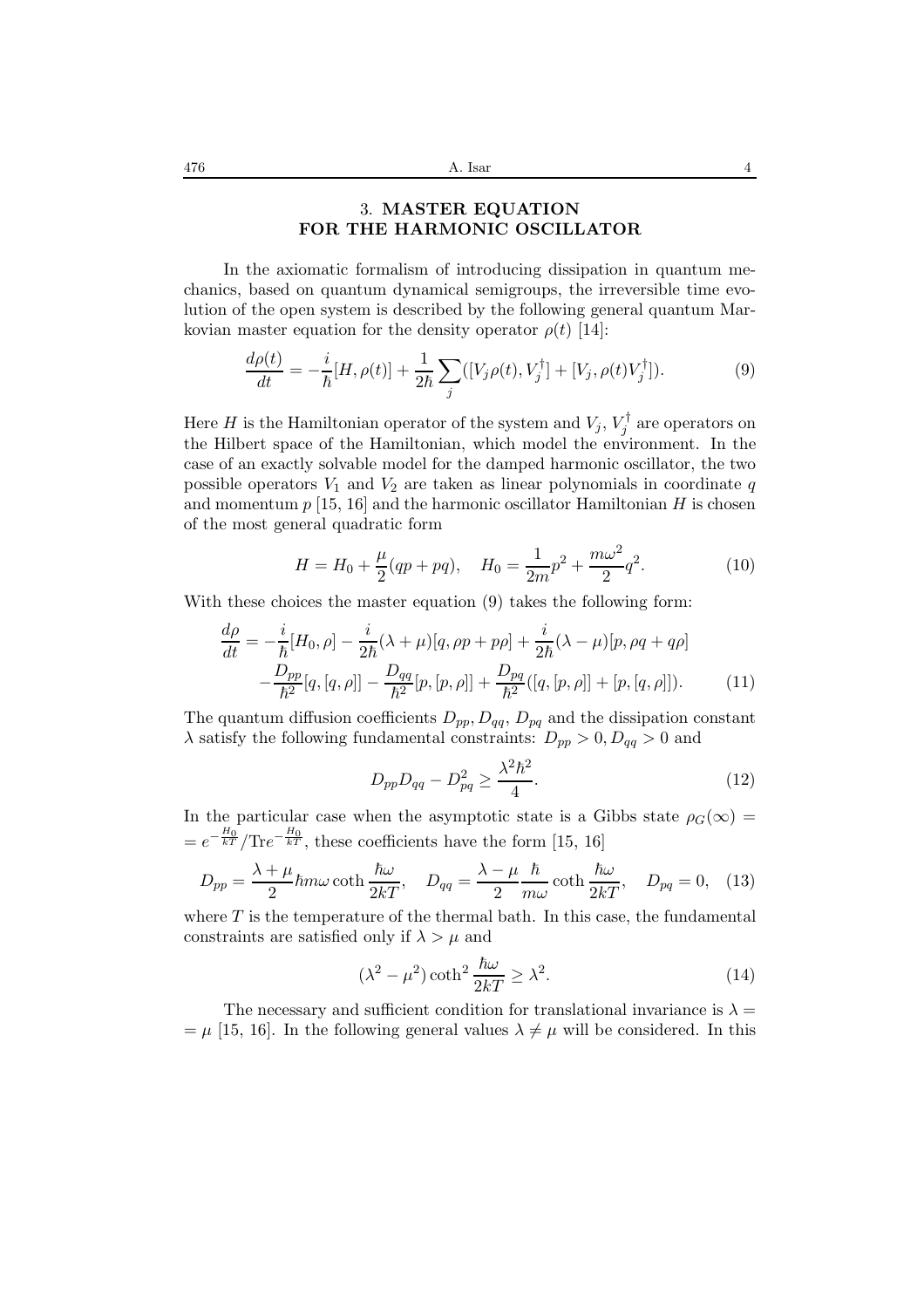## 3. **MASTER EQUATION FOR THE HARMONIC OSCILLATOR**

In the axiomatic formalism of introducing dissipation in quantum mechanics, based on quantum dynamical semigroups, the irreversible time evolution of the open system is described by the following general quantum Markovian master equation for the density operator  $\rho(t)$  [14]:

$$
\frac{d\rho(t)}{dt} = -\frac{i}{\hbar}[H,\rho(t)] + \frac{1}{2\hbar}\sum_{j} ([V_j\rho(t),V_j^{\dagger}] + [V_j,\rho(t)V_j^{\dagger}]).
$$
\n(9)

Here *H* is the Hamiltonian operator of the system and  $V_j$ ,  $V_j^{\dagger}$  are operators on the Hilbert space of the Hamiltonian, which model the environment. In the case of an exactly solvable model for the damped harmonic oscillator, the two possible operators  $V_1$  and  $V_2$  are taken as linear polynomials in coordinate q and momentum  $p$  [15, 16] and the harmonic oscillator Hamiltonian  $H$  is chosen of the most general quadratic form

$$
H = H_0 + \frac{\mu}{2}(qp + pq), \quad H_0 = \frac{1}{2m}p^2 + \frac{m\omega^2}{2}q^2.
$$
 (10)

With these choices the master equation  $(9)$  takes the following form:

$$
\frac{d\rho}{dt} = -\frac{i}{\hbar}[H_0, \rho] - \frac{i}{2\hbar}(\lambda + \mu)[q, \rho p + p\rho] + \frac{i}{2\hbar}(\lambda - \mu)[p, \rho q + q\rho] \n- \frac{D_{pp}}{\hbar^2}[q, [q, \rho]] - \frac{D_{qq}}{\hbar^2}[p, [p, \rho]] + \frac{D_{pq}}{\hbar^2}([q, [p, \rho]] + [p, [q, \rho]]). \tag{11}
$$

The quantum diffusion coefficients  $D_{pp}, D_{qq}, D_{pq}$  and the dissipation constant  $\lambda$  satisfy the following fundamental constraints:  $D_{pp} > 0, D_{qq} > 0$  and

$$
D_{pp}D_{qq} - D_{pq}^2 \ge \frac{\lambda^2 \hbar^2}{4}.
$$
 (12)

In the particular case when the asymptotic state is a Gibbs state  $\rho_G(\infty)$  =  $= e^{-\frac{H_0}{kT}}/\text{Tr}e^{-\frac{H_0}{kT}}$ , these coefficients have the form [15, 16]

$$
D_{pp} = \frac{\lambda + \mu}{2} \hbar m \omega \coth \frac{\hbar \omega}{2kT}, \quad D_{qq} = \frac{\lambda - \mu}{2} \frac{\hbar}{m \omega} \coth \frac{\hbar \omega}{2kT}, \quad D_{pq} = 0, \quad (13)
$$

where  $T$  is the temperature of the thermal bath. In this case, the fundamental constraints are satisfied only if  $\lambda > \mu$  and

$$
(\lambda^2 - \mu^2) \coth^2 \frac{\hbar \omega}{2kT} \ge \lambda^2.
$$
 (14)

The necessary and sufficient condition for translational invariance is  $\lambda =$  $= \mu$  [15, 16]. In the following general values  $\lambda \neq \mu$  will be considered. In this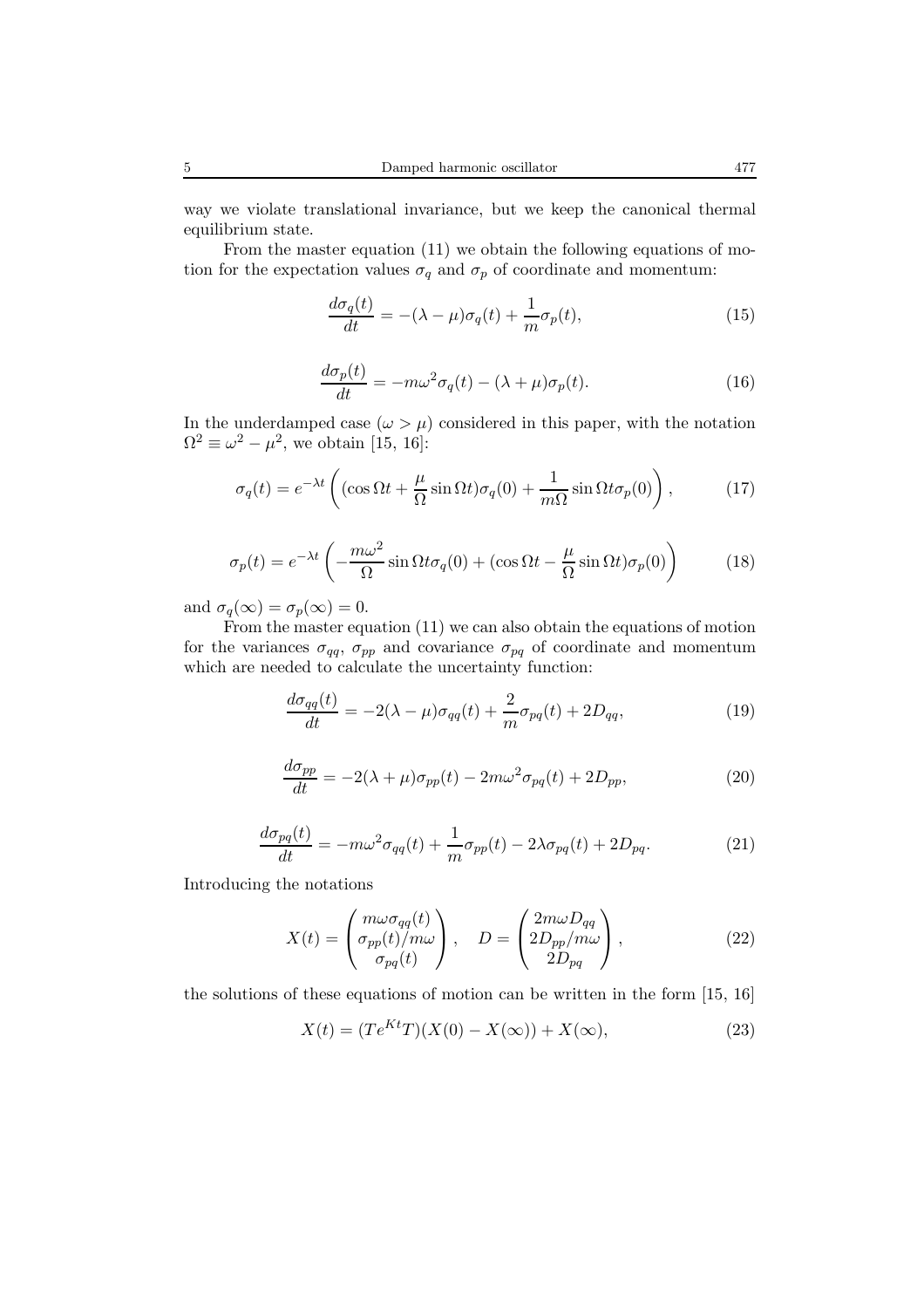way we violate translational invariance, but we keep the canonical thermal equilibrium state.

From the master equation (11) we obtain the following equations of motion for the expectation values  $\sigma_q$  and  $\sigma_p$  of coordinate and momentum:

$$
\frac{d\sigma_q(t)}{dt} = -(\lambda - \mu)\sigma_q(t) + \frac{1}{m}\sigma_p(t),\tag{15}
$$

$$
\frac{d\sigma_p(t)}{dt} = -m\omega^2 \sigma_q(t) - (\lambda + \mu)\sigma_p(t). \tag{16}
$$

In the underdamped case  $(\omega > \mu)$  considered in this paper, with the notation  $\Omega^2 \equiv \omega^2 - \mu^2$ , we obtain [15, 16]:

$$
\sigma_q(t) = e^{-\lambda t} \left( (\cos \Omega t + \frac{\mu}{\Omega} \sin \Omega t) \sigma_q(0) + \frac{1}{m\Omega} \sin \Omega t \sigma_p(0) \right), \tag{17}
$$

$$
\sigma_p(t) = e^{-\lambda t} \left( -\frac{m\omega^2}{\Omega} \sin \Omega t \sigma_q(0) + (\cos \Omega t - \frac{\mu}{\Omega} \sin \Omega t) \sigma_p(0) \right) \tag{18}
$$

and  $\sigma_q(\infty) = \sigma_p(\infty) = 0$ .

From the master equation (11) we can also obtain the equations of motion for the variances  $\sigma_{qq}$ ,  $\sigma_{pp}$  and covariance  $\sigma_{pq}$  of coordinate and momentum which are needed to calculate the uncertainty function:

$$
\frac{d\sigma_{qq}(t)}{dt} = -2(\lambda - \mu)\sigma_{qq}(t) + \frac{2}{m}\sigma_{pq}(t) + 2D_{qq},\tag{19}
$$

$$
\frac{d\sigma_{pp}}{dt} = -2(\lambda + \mu)\sigma_{pp}(t) - 2m\omega^2\sigma_{pq}(t) + 2D_{pp},\tag{20}
$$

$$
\frac{d\sigma_{pq}(t)}{dt} = -m\omega^2 \sigma_{qq}(t) + \frac{1}{m}\sigma_{pp}(t) - 2\lambda \sigma_{pq}(t) + 2D_{pq}.\tag{21}
$$

Introducing the notations

$$
X(t) = \begin{pmatrix} m\omega\sigma_{qq}(t) \\ \sigma_{pp}(t)/m\omega \\ \sigma_{pq}(t) \end{pmatrix}, \quad D = \begin{pmatrix} 2m\omega D_{qq} \\ 2D_{pp}/m\omega \\ 2D_{pq} \end{pmatrix},
$$
(22)

the solutions of these equations of motion can be written in the form [15, 16]

$$
X(t) = (Te^{Kt}T)(X(0) - X(\infty)) + X(\infty),
$$
\n(23)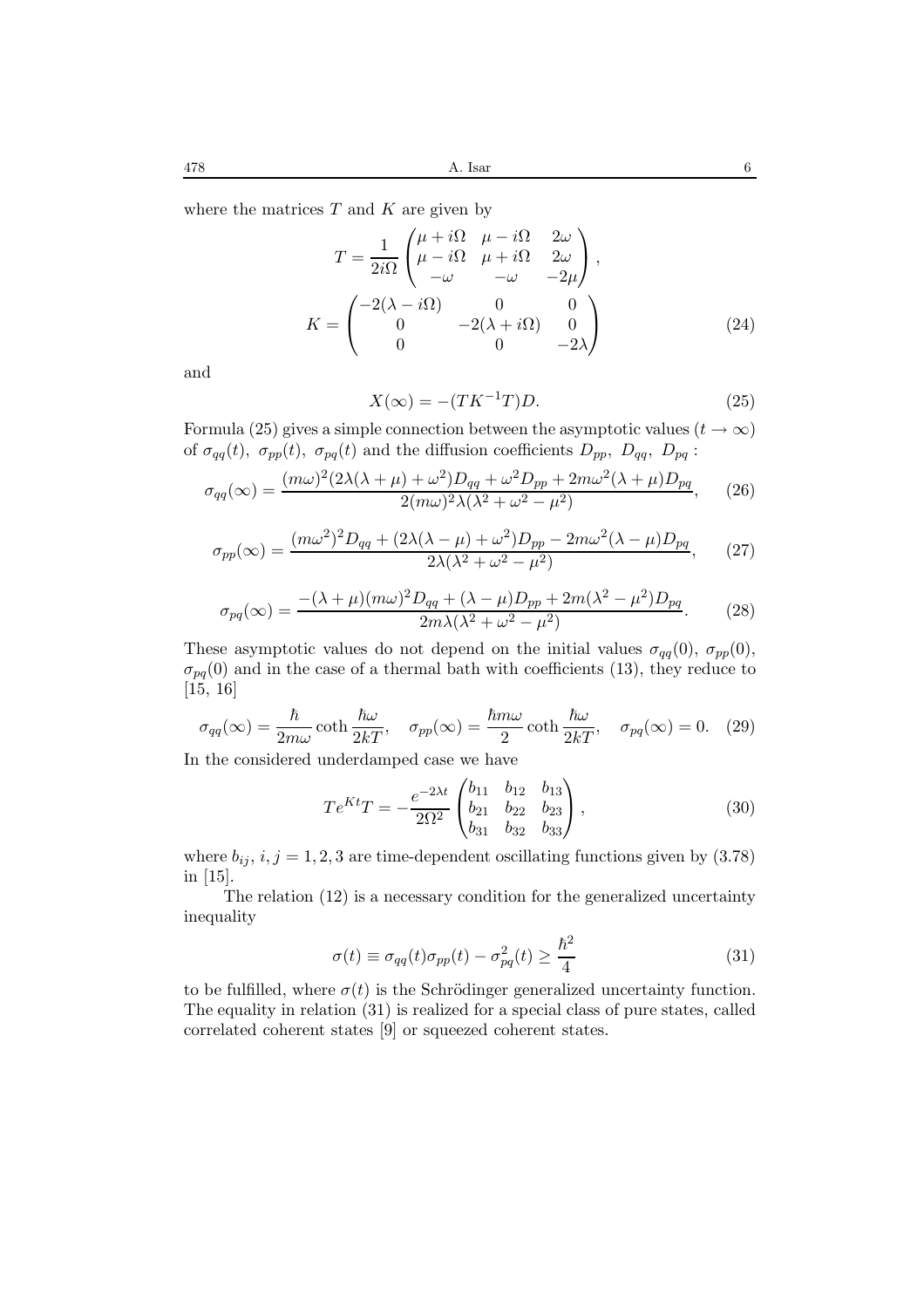where the matrices  $T$  and  $K$  are given by

$$
T = \frac{1}{2i\Omega} \begin{pmatrix} \mu + i\Omega & \mu - i\Omega & 2\omega \\ \mu - i\Omega & \mu + i\Omega & 2\omega \\ -\omega & -\omega & -2\mu \end{pmatrix},
$$

$$
K = \begin{pmatrix} -2(\lambda - i\Omega) & 0 & 0 \\ 0 & -2(\lambda + i\Omega) & 0 \\ 0 & 0 & -2\lambda \end{pmatrix}
$$
(24)

and

$$
X(\infty) = -(TK^{-1}T)D.
$$
\n(25)

Formula (25) gives a simple connection between the asymptotic values ( $t \to \infty$ ) of  $\sigma_{qq}(t)$ ,  $\sigma_{pp}(t)$ ,  $\sigma_{pq}(t)$  and the diffusion coefficients  $D_{pp}$ ,  $D_{qq}$ ,  $D_{pq}$ :

$$
\sigma_{qq}(\infty) = \frac{(m\omega)^2 (2\lambda(\lambda+\mu)+\omega^2)D_{qq} + \omega^2 D_{pp} + 2m\omega^2(\lambda+\mu)D_{pq}}{2(m\omega)^2 \lambda(\lambda^2+\omega^2-\mu^2)},\qquad(26)
$$

$$
\sigma_{pp}(\infty) = \frac{(m\omega^2)^2 D_{qq} + (2\lambda(\lambda - \mu) + \omega^2)D_{pp} - 2m\omega^2(\lambda - \mu)D_{pq}}{2\lambda(\lambda^2 + \omega^2 - \mu^2)},
$$
(27)

$$
\sigma_{pq}(\infty) = \frac{-(\lambda + \mu)(m\omega)^2 D_{qq} + (\lambda - \mu)D_{pp} + 2m(\lambda^2 - \mu^2)D_{pq}}{2m\lambda(\lambda^2 + \omega^2 - \mu^2)}.
$$
 (28)

These asymptotic values do not depend on the initial values  $\sigma_{qq}(0)$ ,  $\sigma_{pp}(0)$ ,  $\sigma_{pq}(0)$  and in the case of a thermal bath with coefficients (13), they reduce to [15, 16]

$$
\sigma_{qq}(\infty) = \frac{\hbar}{2m\omega} \coth \frac{\hbar \omega}{2kT}, \quad \sigma_{pp}(\infty) = \frac{\hbar m\omega}{2} \coth \frac{\hbar \omega}{2kT}, \quad \sigma_{pq}(\infty) = 0. \quad (29)
$$

In the considered underdamped case we have

$$
Te^{Kt}T = -\frac{e^{-2\lambda t}}{2\Omega^2} \begin{pmatrix} b_{11} & b_{12} & b_{13} \\ b_{21} & b_{22} & b_{23} \\ b_{31} & b_{32} & b_{33} \end{pmatrix},
$$
 (30)

where  $b_{ij}$ ,  $i, j = 1, 2, 3$  are time-dependent oscillating functions given by (3.78) in [15].

The relation (12) is a necessary condition for the generalized uncertainty inequality

$$
\sigma(t) \equiv \sigma_{qq}(t)\sigma_{pp}(t) - \sigma_{pq}^2(t) \ge \frac{\hbar^2}{4}
$$
\n(31)

to be fulfilled, where  $\sigma(t)$  is the Schrödinger generalized uncertainty function. The equality in relation (31) is realized for a special class of pure states, called correlated coherent states [9] or squeezed coherent states.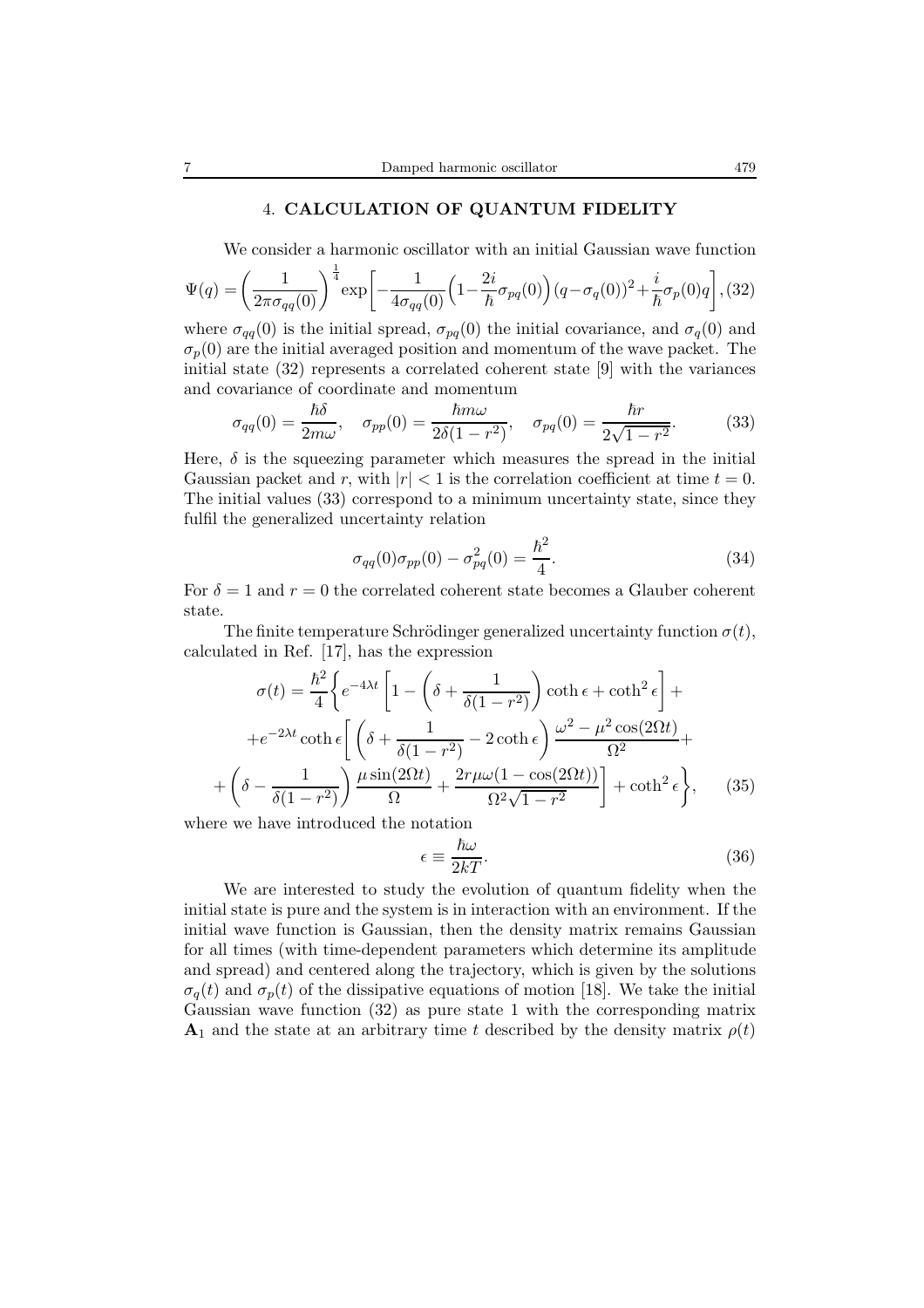#### 4. **CALCULATION OF QUANTUM FIDELITY**

We consider a harmonic oscillator with an initial Gaussian wave function

$$
\Psi(q) = \left(\frac{1}{2\pi\sigma_{qq}(0)}\right)^{\frac{1}{4}} \exp\left[-\frac{1}{4\sigma_{qq}(0)}\left(1 - \frac{2i}{\hbar}\sigma_{pq}(0)\right)(q - \sigma_q(0))^2 + \frac{i}{\hbar}\sigma_p(0)q\right],
$$
 (32)

where  $\sigma_{qq}(0)$  is the initial spread,  $\sigma_{pq}(0)$  the initial covariance, and  $\sigma_q(0)$  and  $\sigma_p(0)$  are the initial averaged position and momentum of the wave packet. The initial state (32) represents a correlated coherent state [9] with the variances and covariance of coordinate and momentum

$$
\sigma_{qq}(0) = \frac{\hbar \delta}{2m\omega}, \quad \sigma_{pp}(0) = \frac{\hbar m\omega}{2\delta(1 - r^2)}, \quad \sigma_{pq}(0) = \frac{\hbar r}{2\sqrt{1 - r^2}}.
$$
 (33)

Here,  $\delta$  is the squeezing parameter which measures the spread in the initial Gaussian packet and r, with  $|r| < 1$  is the correlation coefficient at time  $t = 0$ . The initial values (33) correspond to a minimum uncertainty state, since they fulfil the generalized uncertainty relation

$$
\sigma_{qq}(0)\sigma_{pp}(0) - \sigma_{pq}^2(0) = \frac{\hbar^2}{4}.
$$
\n(34)

For  $\delta = 1$  and  $r = 0$  the correlated coherent state becomes a Glauber coherent state.

The finite temperature Schrödinger generalized uncertainty function  $\sigma(t)$ , calculated in Ref. [17], has the expression

$$
\sigma(t) = \frac{\hbar^2}{4} \left\{ e^{-4\lambda t} \left[ 1 - \left( \delta + \frac{1}{\delta(1 - r^2)} \right) \coth \epsilon + \coth^2 \epsilon \right] + \right.
$$

$$
+ e^{-2\lambda t} \coth \epsilon \left[ \left( \delta + \frac{1}{\delta(1 - r^2)} - 2 \coth \epsilon \right) \frac{\omega^2 - \mu^2 \cos(2\Omega t)}{\Omega^2} + \left( \delta - \frac{1}{\delta(1 - r^2)} \right) \frac{\mu \sin(2\Omega t)}{\Omega} + \frac{2r\mu\omega(1 - \cos(2\Omega t))}{\Omega^2 \sqrt{1 - r^2}} \right] + \coth^2 \epsilon \right\}, \quad (35)
$$

where we have introduced the notation

$$
\epsilon \equiv \frac{\hbar \omega}{2kT}.\tag{36}
$$

We are interested to study the evolution of quantum fidelity when the initial state is pure and the system is in interaction with an environment. If the initial wave function is Gaussian, then the density matrix remains Gaussian for all times (with time-dependent parameters which determine its amplitude and spread) and centered along the trajectory, which is given by the solutions  $\sigma_q(t)$  and  $\sigma_p(t)$  of the dissipative equations of motion [18]. We take the initial Gaussian wave function (32) as pure state 1 with the corresponding matrix **A**<sub>1</sub> and the state at an arbitrary time t described by the density matrix  $\rho(t)$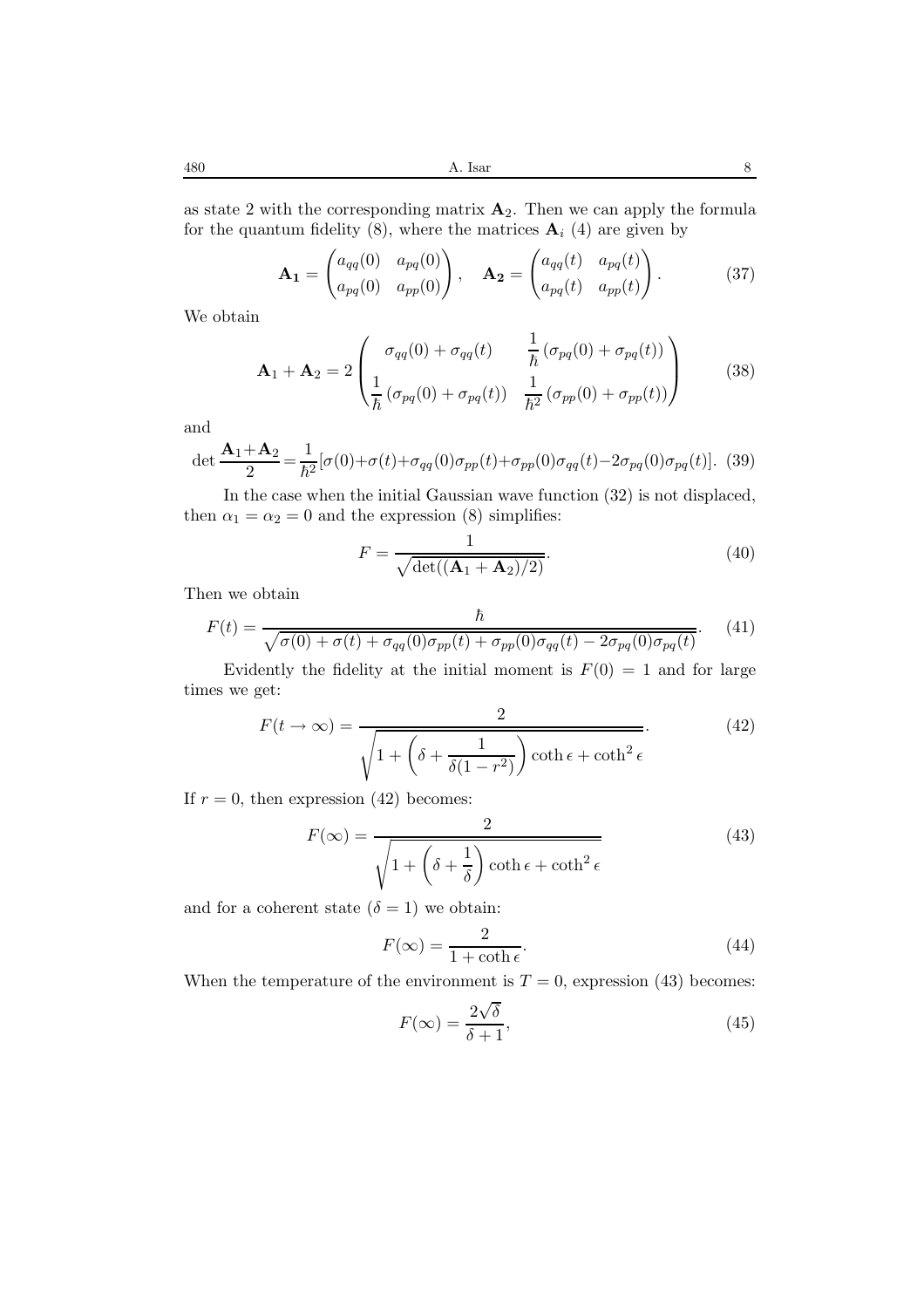as state 2 with the corresponding matrix  $\mathbf{A}_2$ . Then we can apply the formula for the quantum fidelity (8), where the matrices  $A_i$  (4) are given by

$$
\mathbf{A_1} = \begin{pmatrix} a_{qq}(0) & a_{pq}(0) \\ a_{pq}(0) & a_{pp}(0) \end{pmatrix}, \quad \mathbf{A_2} = \begin{pmatrix} a_{qq}(t) & a_{pq}(t) \\ a_{pq}(t) & a_{pp}(t) \end{pmatrix}.
$$
 (37)

We obtain

$$
\mathbf{A}_1 + \mathbf{A}_2 = 2 \begin{pmatrix} \sigma_{qq}(0) + \sigma_{qq}(t) & \frac{1}{\hbar} (\sigma_{pq}(0) + \sigma_{pq}(t)) \\ \frac{1}{\hbar} (\sigma_{pq}(0) + \sigma_{pq}(t)) & \frac{1}{\hbar^2} (\sigma_{pp}(0) + \sigma_{pp}(t)) \end{pmatrix}
$$
(38)

and

$$
\det \frac{\mathbf{A}_1 + \mathbf{A}_2}{2} = \frac{1}{\hbar^2} [\sigma(0) + \sigma(t) + \sigma_{qq}(0)\sigma_{pp}(t) + \sigma_{pp}(0)\sigma_{qq}(t) - 2\sigma_{pq}(0)\sigma_{pq}(t)].
$$
 (39)

In the case when the initial Gaussian wave function (32) is not displaced, then  $\alpha_1 = \alpha_2 = 0$  and the expression (8) simplifies:

$$
F = \frac{1}{\sqrt{\det((\mathbf{A}_1 + \mathbf{A}_2)/2)}}.\tag{40}
$$

Then we obtain

$$
F(t) = \frac{\hbar}{\sqrt{\sigma(0) + \sigma(t) + \sigma_{qq}(0)\sigma_{pp}(t) + \sigma_{pp}(0)\sigma_{qq}(t) - 2\sigma_{pq}(0)\sigma_{pq}(t)}}.
$$
(41)

Evidently the fidelity at the initial moment is  $F(0) = 1$  and for large times we get:

$$
F(t \to \infty) = \frac{2}{\sqrt{1 + \left(\delta + \frac{1}{\delta(1 - r^2)}\right) \coth \epsilon + \coth^2 \epsilon}}.
$$
 (42)

If  $r = 0$ , then expression (42) becomes:

$$
F(\infty) = \frac{2}{\sqrt{1 + \left(\delta + \frac{1}{\delta}\right) \coth \epsilon + \coth^2 \epsilon}}
$$
(43)

and for a coherent state  $(\delta = 1)$  we obtain:

$$
F(\infty) = \frac{2}{1 + \coth \epsilon}.\tag{44}
$$

When the temperature of the environment is  $T = 0$ , expression (43) becomes:

$$
F(\infty) = \frac{2\sqrt{\delta}}{\delta + 1},\tag{45}
$$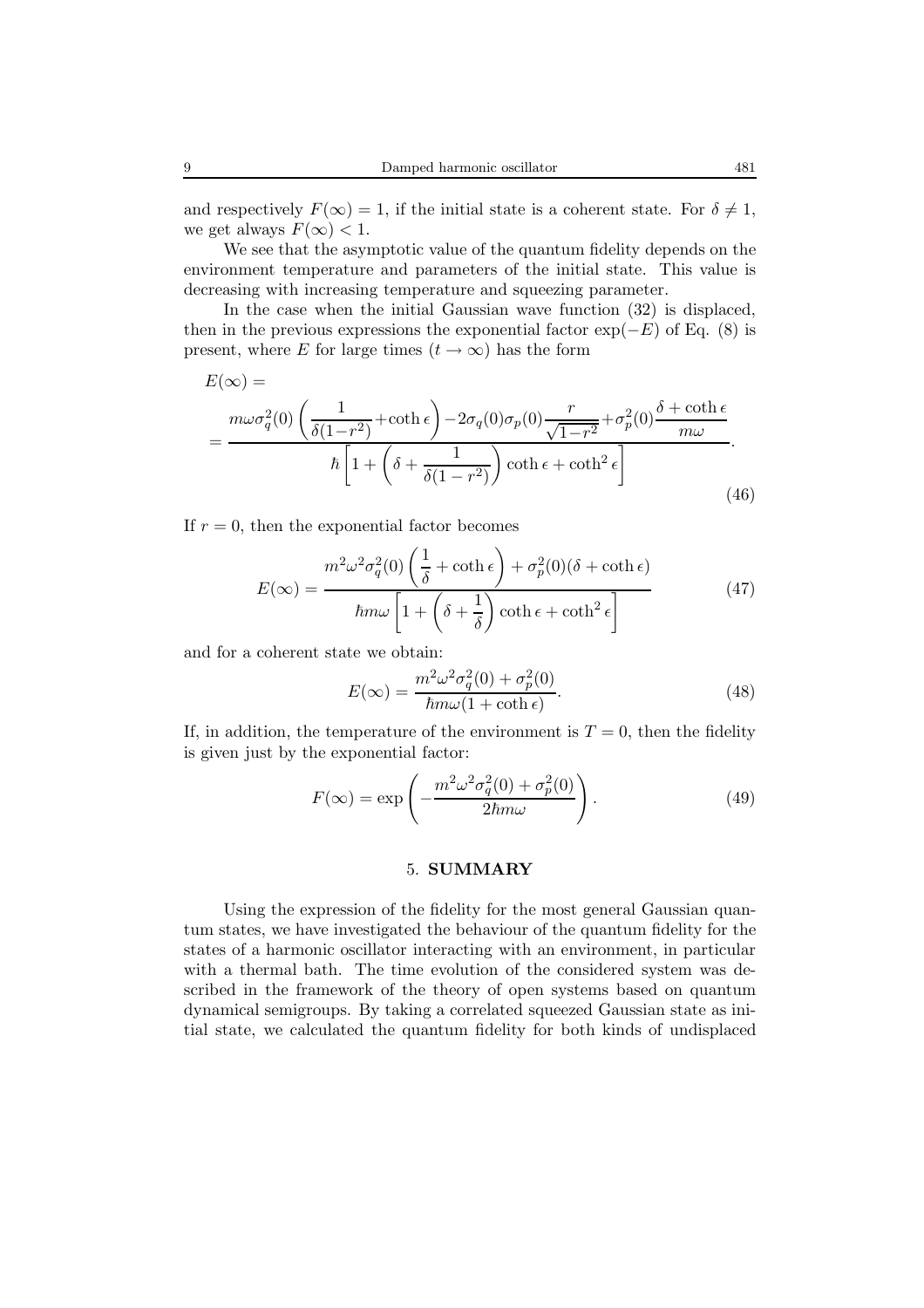We see that the asymptotic value of the quantum fidelity depends on the environment temperature and parameters of the initial state. This value is decreasing with increasing temperature and squeezing parameter.

In the case when the initial Gaussian wave function (32) is displaced, then in the previous expressions the exponential factor  $\exp(-E)$  of Eq. (8) is present, where E for large times  $(t \to \infty)$  has the form

$$
E(\infty) =
$$
\n
$$
= \frac{m\omega\sigma_q^2(0)\left(\frac{1}{\delta(1-r^2)} + \coth\epsilon\right) - 2\sigma_q(0)\sigma_p(0)\frac{r}{\sqrt{1-r^2}} + \sigma_p^2(0)\frac{\delta + \coth\epsilon}{m\omega}}{\hbar\left[1 + \left(\delta + \frac{1}{\delta(1-r^2)}\right)\coth\epsilon + \coth^2\epsilon\right]}.
$$
\n(46)

If  $r = 0$ , then the exponential factor becomes

$$
E(\infty) = \frac{m^2 \omega^2 \sigma_q^2(0) \left(\frac{1}{\delta} + \coth \epsilon\right) + \sigma_p^2(0) (\delta + \coth \epsilon)}{\hbar m \omega \left[1 + \left(\delta + \frac{1}{\delta}\right) \coth \epsilon + \coth^2 \epsilon\right]}
$$
(47)

and for a coherent state we obtain:

$$
E(\infty) = \frac{m^2 \omega^2 \sigma_q^2(0) + \sigma_p^2(0)}{\hbar m \omega (1 + \coth \epsilon)}.
$$
\n(48)

If, in addition, the temperature of the environment is  $T = 0$ , then the fidelity is given just by the exponential factor:

$$
F(\infty) = \exp\left(-\frac{m^2 \omega^2 \sigma_q^2(0) + \sigma_p^2(0)}{2\hbar m \omega}\right).
$$
 (49)

## 5. **SUMMARY**

Using the expression of the fidelity for the most general Gaussian quantum states, we have investigated the behaviour of the quantum fidelity for the states of a harmonic oscillator interacting with an environment, in particular with a thermal bath. The time evolution of the considered system was described in the framework of the theory of open systems based on quantum dynamical semigroups. By taking a correlated squeezed Gaussian state as initial state, we calculated the quantum fidelity for both kinds of undisplaced